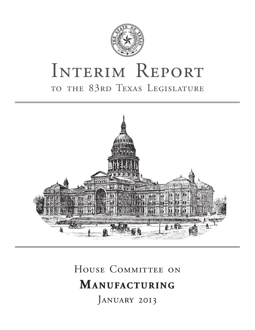

# INTERIM REPORT to the 83rd Texas Legislature



# HOUSE COMMITTEE ON **MANUFACTURING**

JANUARY 2013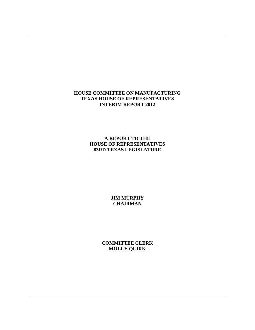#### **HOUSE COMMITTEE ON MANUFACTURING TEXAS HOUSE OF REPRESENTATIVES INTERIM REPORT 2012**

**A REPORT TO THE HOUSE OF REPRESENTATIVES 83RD TEXAS LEGISLATURE** 

> **JIM MURPHY CHAIRMAN**

**COMMITTEE CLERK MOLLY QUIRK**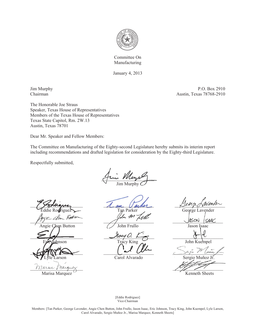

Committee On Manufacturing

January 4, 2013

Jim Murphy P.O. Box 2910 Chairman Austin, Texas 78768-2910

The Honorable Joe Straus Speaker, Texas House of Representatives Members of the Texas House of Representatives Texas State Capitol, Rm. 2W.13 Austin, Texas 78701

Dear Mr. Speaker and Fellow Members:

The Committee on Manufacturing of the Eighty-second Legislature hereby submits its interim report including recommendations and drafted legislation for consideration by the Eighty-third Legislature.

Respectfully submitted,

 $mu$   $\nu$ Jim Murphy

 $\angle$  Soduances  $\angle$  an Vanher  $\angle$  Dengoment  $\sqrt{150N}$   $\sqrt{150N}$   $\sqrt{150N}$   $\sqrt{150N}$  Angie Chen Button John Frullo Jason Isaac  $\frac{\text{Nocyl}}{\text{N}}$  ,  $\frac{\text{Nocyl}}{\text{N}}$  ,  $\frac{\text{Nol}}{\text{N}}$  ,  $\frac{\text{Nol}}{\text{N}}$  $\frac{1}{\sqrt{2}}$ Marue Marguez

Marisa Marquez <sup>C</sup> Kenneth Sheets

Tan Parker George Lavender Lelm M

nson Tracy King 1986 John Kuempel

Lyle Larson Carol Alvarado Sergio Muñoz Jr.

[Eddie Rodriguez] Vice-Chairman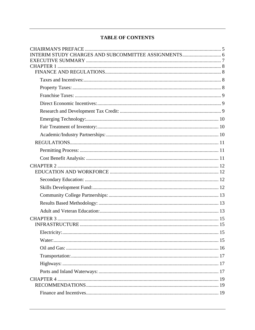# **TABLE OF CONTENTS**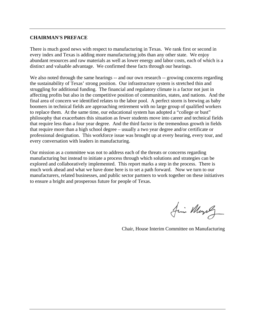#### **CHAIRMAN'S PREFACE**

There is much good news with respect to manufacturing in Texas. We rank first or second in every index and Texas is adding more manufacturing jobs than any other state. We enjoy abundant resources and raw materials as well as lower energy and labor costs, each of which is a distinct and valuable advantage. We confirmed these facts through our hearings.

We also noted through the same hearings -- and our own research -- growing concerns regarding the sustainability of Texas' strong position. Our infrastructure system is stretched thin and struggling for additional funding. The financial and regulatory climate is a factor not just in affecting profits but also in the competitive position of communities, states, and nations. And the final area of concern we identified relates to the labor pool. A perfect storm is brewing as baby boomers in technical fields are approaching retirement with no large group of qualified workers to replace them. At the same time, our educational system has adopted a "college or bust" philosophy that exacerbates this situation as fewer students move into career and technical fields that require less than a four year degree. And the third factor is the tremendous growth in fields that require more than a high school degree – usually a two year degree and/or certificate or professional designation. This workforce issue was brought up at every hearing, every tour, and every conversation with leaders in manufacturing.

Our mission as a committee was not to address each of the threats or concerns regarding manufacturing but instead to initiate a process through which solutions and strategies can be explored and collaboratively implemented. This report marks a step in the process. There is much work ahead and what we have done here is to set a path forward. Now we turn to our manufacturers, related businesses, and public sector partners to work together on these initiatives to ensure a bright and prosperous future for people of Texas.

Juin Murphy

Chair, House Interim Committee on Manufacturing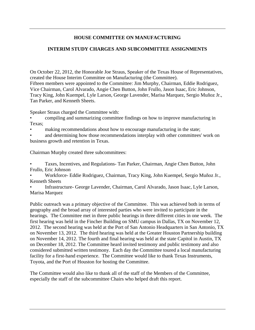# **HOUSE COMMITTEE ON MANUFACTURING**

# **INTERIM STUDY CHARGES AND SUBCOMMITTEE ASSIGNMENTS**

On October 22, 2012, the Honorable Joe Straus, Speaker of the Texas House of Representatives, created the House Interim Committee on Manufacturing (the Committee). Fifteen members were appointed to the Committee: Jim Murphy, Chairman, Eddie Rodriguez, Vice Chairman, Carol Alvarado, Angie Chen Button, John Frullo, Jason Isaac, Eric Johnson, Tracy King, John Kuempel, Lyle Larson, George Lavender, Marisa Marquez, Sergio Muñoz Jr., Tan Parker, and Kenneth Sheets.

Speaker Straus charged the Committee with:

- compiling and summarizing committee findings on how to improve manufacturing in Texas;
- making recommendations about how to encourage manufacturing in the state;
- and determining how those recommendations interplay with other committees' work on business growth and retention in Texas.

Chairman Murphy created three subcommittees:

- Taxes, Incentives, and Regulations- Tan Parker, Chairman, Angie Chen Button, John Frullo, Eric Johnson
- Workforce- Eddie Rodriguez, Chairman, Tracy King, John Kuempel, Sergio Muñoz Jr., Kenneth Sheets
- Infrastructure- George Lavender, Chairman, Carol Alvarado, Jason Isaac, Lyle Larson, Marisa Marquez

Public outreach was a primary objective of the Committee. This was achieved both in terms of geography and the broad array of interested parties who were invited to participate in the hearings. The Committee met in three public hearings in three different cities in one week. The first hearing was held in the Fincher Building on SMU campus in Dallas, TX on November 12, 2012. The second hearing was held at the Port of San Antonio Headquarters in San Antonio, TX on November 13, 2012. The third hearing was held at the Greater Houston Partnership building on November 14, 2012. The fourth and final hearing was held at the state Capitol in Austin, TX on December 18, 2012. The Committee heard invited testimony and public testimony and also considered submitted written testimony. Each day the Committee toured a local manufacturing facility for a first-hand experience. The Committee would like to thank Texas Instruments, Toyota, and the Port of Houston for hosting the Committee.

The Committee would also like to thank all of the staff of the Members of the Committee, especially the staff of the subcommittee Chairs who helped draft this report.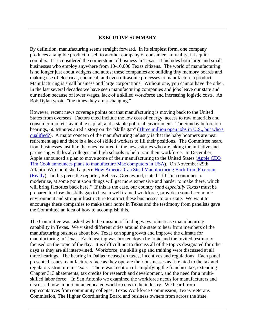#### **EXECUTIVE SUMMARY**

By definition, manufacturing seems straight forward. In its simplest form, one company produces a tangible product to sell to another company or consumer. In reality, it is quite complex. It is considered the cornerstone of business in Texas. It includes both large and small businesses who employ anywhere from 10-10,000 Texas citizens. The world of manufacturing is no longer just about widgets and autos; these companies are building tiny memory boards and making use of electrical, chemical, and even ultrasonic processes to manufacture a product. Manufacturing is small business and large corporations. Without one, you cannot have the other. In the last several decades we have seen manufacturing companies and jobs leave our state and our nation because of lower wages, lack of a skilled workforce and increasing logistic costs. As Bob Dylan wrote, "the times they are a-changing."

However, recent news coverage points out that manufacturing is moving back to the United States from overseas. Factors cited include the low cost of energy, access to raw materials and consumer markets, available capital, and a stable political environment. The Sunday before our hearings, 60 Minutes aired a story on the "skills gap" (Three million open jobs in U.S., but who's qualified?). A major concern of the manufacturing industry is that the baby boomers are near retirement age and there is a lack of skilled workers to fill their positions. The Committee heard from businesses just like the ones featured in the news stories who are taking the initiative and partnering with local colleges and high schools to help train their workforce. In December, Apple announced a plan to move some of their manufacturing to the United States (Apple CEO Tim Cook announces plans to manufacture Mac computers in USA). On November 29th, Atlantic Wire published a piece How America Can Steal Manufacturing Back from Foxconn (Really). In this piece the reporter, Rebecca Greenwood, stated "If China continues to modernize, at some point soon things will get more expensive and harder to make there, which will bring factories back here." If this is the case, our country *(and especially Texas)* must be prepared to close the skills gap to have a well trained workforce, provide a sound economic environment and strong infrastructure to attract these businesses to our state. We want to encourage these companies to make their home in Texas and the testimony from panelists gave the Committee an idea of how to accomplish this.

The Committee was tasked with the mission of finding ways to increase manufacturing capability in Texas. We visited different cities around the state to hear from members of the manufacturing business about how Texas can spur growth and improve the climate for manufacturing in Texas. Each hearing was broken down by topic and the invited testimony focused on the topic of the day. It is difficult not to discuss all of the topics designated for other days as they are all intertwined. Workforce, the skills gap and training were discussed at all three hearings. The hearing in Dallas focused on taxes, incentives and regulations. Each panel presented issues manufacturers face as they operate their businesses as it related to the tax and regulatory structure in Texas. There was mention of simplifying the franchise tax, extending Chapter 313 abatements, tax credits for research and development, and the need for a multiskilled labor force. In San Antonio we examined the workforce needs for manufacturers and discussed how important an educated workforce is to the industry. We heard from representatives from community colleges, Texas Workforce Commission, Texas Veterans Commission, The Higher Coordinating Board and business owners from across the state.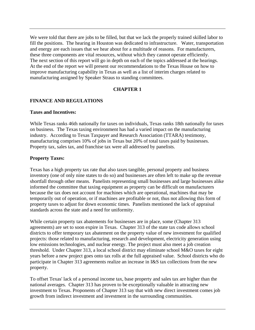We were told that there are jobs to be filled, but that we lack the properly trained skilled labor to fill the positions. The hearing in Houston was dedicated to infrastructure. Water, transportation and energy are each issues that we hear about for a multitude of reasons. For manufacturers, these three components are vital resources, without which they cannot operate efficiently. The next section of this report will go in depth on each of the topics addressed at the hearings. At the end of the report we will present our recommendations to the Texas House on how to improve manufacturing capability in Texas as well as a list of interim charges related to manufacturing assigned by Speaker Straus to standing committees.

#### **CHAPTER 1**

# **FINANCE AND REGULATIONS**

#### **Taxes and Incentives:**

While Texas ranks 46th nationally for taxes on individuals, Texas ranks 18th nationally for taxes on business. The Texas taxing environment has had a varied impact on the manufacturing industry. According to Texas Taxpayer and Research Association (TTARA) testimony, manufacturing comprises 10% of jobs in Texas but 20% of total taxes paid by businesses. Property tax, sales tax, and franchise tax were all addressed by panelists.

#### **Property Taxes:**

Texas has a high property tax rate that also taxes tangible, personal property and business inventory (one of only nine states to do so) and businesses are often left to make up the revenue shortfall through other means. Panelists representing small businesses and large businesses alike informed the committee that taxing equipment as property can be difficult on manufacturers because the tax does not account for machines which are operational, machines that may be temporarily out of operation, or if machines are profitable or not, thus not allowing this form of property taxes to adjust for down economic times. Panelists mentioned the lack of appraisal standards across the state and a need for uniformity.

While certain property tax abatements for businesses are in place, some (Chapter 313 agreements) are set to soon expire in Texas. Chapter 313 of the state tax code allows school districts to offer temporary tax abatement on the property value of new investment for qualified projects: those related to manufacturing, research and development, electricity generation using low emissions technologies, and nuclear energy. The project must also meet a job creation threshold. Under Chapter 313, a local school district may eliminate school M&O taxes for eight years before a new project goes onto tax rolls at the full appraised value. School districts who do participate in Chapter 313 agreements realize an increase in I&S tax collections from the new property.

To offset Texas' lack of a personal income tax, base property and sales tax are higher than the national averages. Chapter 313 has proven to be exceptionally valuable in attracting new investment to Texas. Proponents of Chapter 313 say that with new direct investment comes job growth from indirect investment and investment in the surrounding communities.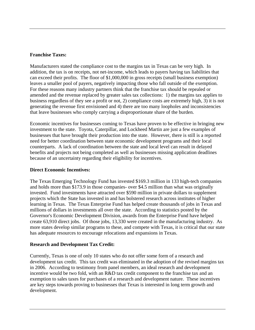#### **Franchise Taxes:**

Manufacturers stated the compliance cost to the margins tax in Texas can be very high. In addition, the tax is on receipts, not net-income, which leads to payers having tax liabilities that can exceed their profits. The floor of \$1,000,000 in gross receipts (small business exemption) leaves a smaller pool of payers, negatively impacting those who fall outside of the exemption. For these reasons many industry partners think that the franchise tax should be repealed or amended and the revenue replaced by greater sales tax collections: 1) the margins tax applies to business regardless of they see a profit or not, 2) compliance costs are extremely high, 3) it is not generating the revenue first envisioned and 4) there are too many loopholes and inconsistencies that leave businesses who comply carrying a disproportionate share of the burden.

Economic incentives for businesses coming to Texas have proven to be effective in bringing new investment to the state. Toyota, Caterpillar, and Lockheed Martin are just a few examples of businesses that have brought their production into the state. However, there is still is a reported need for better coordination between state economic development programs and their local counterparts. A lack of coordination between the state and local level can result in delayed benefits and projects not being completed as well as businesses missing application deadlines because of an uncertainty regarding their eligibility for incentives.

#### **Direct Economic Incentives:**

The Texas Emerging Technology Fund has invested \$169.3 million in 133 high-tech companies and holds more than \$173.9 in those companies- over \$4.5 million than what was originally invested. Fund investments have attracted over \$590 million in private dollars to supplement projects which the State has invested in and has bolstered research across institutes of higher learning in Texas. The Texas Enterprise Fund has helped create thousands of jobs in Texas and millions of dollars in investments all over the state. According to statistics posted by the Governor's Economic Development Division, awards from the Enterprise Fund have helped create 63,910 direct jobs. Of those jobs, 13,330 were created in the manufacturing industry. As more states develop similar programs to these, and compete with Texas, it is critical that our state has adequate resources to encourage relocations and expansions in Texas.

#### **Research and Development Tax Credit:**

Currently, Texas is one of only 10 states who do not offer some form of a research and development tax credit. This tax credit was eliminated in the adoption of the revised margins tax in 2006. According to testimony from panel members, an ideal research and development incentive would be two fold, with an R&D tax credit component to the franchise tax and an exemption to sales taxes for purchases of a research and development nature. These incentives are key steps towards proving to businesses that Texas is interested in long term growth and development.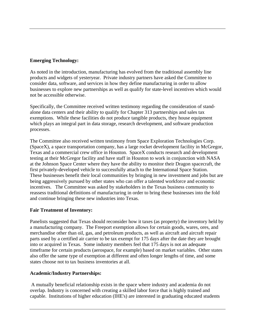#### **Emerging Technology:**

As noted in the introduction, manufacturing has evolved from the traditional assembly line products and widgets of yesteryear. Private industry partners have asked the Committee to consider data, software, and services in how they define manufacturing in order to allow businesses to explore new partnerships as well as qualify for state-level incentives which would not be accessible otherwise.

Specifically, the Committee received written testimony regarding the consideration of standalone data centers and their ability to qualify for Chapter 313 partnerships and sales tax exemptions. While these facilities do not produce tangible products, they house equipment which plays an integral part in data storage, research development, and software production processes.

The Committee also received written testimony from Space Exploration Technologies Corp. (SpaceX), a space transportation company, has a large rocket development facility in McGregor, Texas and a commercial crew office in Houston. SpaceX conducts research and development testing at their McGregor facility and have staff in Houston to work in conjunction with NASA at the Johnson Space Center where they have the ability to monitor their Dragon spacecraft, the first privately-developed vehicle to successfully attach to the International Space Station. These businesses benefit their local communities by bringing in new investment and jobs but are being aggressively pursued by other states who can offer a talented workforce and economic incentives. The Committee was asked by stakeholders in the Texas business community to reassess traditional definitions of manufacturing in order to bring these businesses into the fold and continue bringing these new industries into Texas.

#### **Fair Treatment of Inventory:**

Panelists suggested that Texas should reconsider how it taxes (as property) the inventory held by a manufacturing company. The Freeport exemption allows for certain goods, wares, ores, and merchandise other than oil, gas, and petroleum products, as well as aircraft and aircraft repair parts used by a certified air carrier to be tax exempt for 175 days after the date they are brought into or acquired in Texas. Some industry members feel that 175 days is not an adequate timeframe for certain products (aerospace, for example) based on market variables. Other states also offer the same type of exemption at different and often longer lengths of time, and some states choose not to tax business inventories at all.

# **Academic/Industry Partnerships:**

 A mutually beneficial relationship exists in the space where industry and academia do not overlap. Industry is concerned with creating a skilled labor force that is highly trained and capable. Institutions of higher education (IHE's) are interested in graduating educated students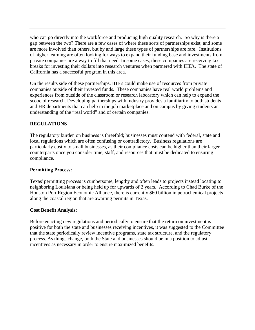who can go directly into the workforce and producing high quality research. So why is there a gap between the two? There are a few cases of where these sorts of partnerships exist, and some are more involved than others, but by and large these types of partnerships are rare. Institutions of higher learning are often looking for ways to expand their funding base and investments from private companies are a way to fill that need. In some cases, these companies are receiving tax breaks for investing their dollars into research ventures when partnered with IHE's. The state of California has a successful program in this area.

On the results side of these partnerships, IHE's could make use of resources from private companies outside of their invested funds. These companies have real world problems and experiences from outside of the classroom or research laboratory which can help to expand the scope of research. Developing partnerships with industry provides a familiarity to both students and HR departments that can help in the job marketplace and on campus by giving students an understanding of the "real world" and of certain companies.

# **REGULATIONS**

The regulatory burden on business is threefold; businesses must contend with federal, state and local regulations which are often confusing or contradictory. Business regulations are particularly costly to small businesses, as their compliance costs can be higher than their larger counterparts once you consider time, staff, and resources that must be dedicated to ensuring compliance.

#### **Permitting Process:**

Texas' permitting process is cumbersome, lengthy and often leads to projects instead locating to neighboring Louisiana or being held up for upwards of 2 years. According to Chad Burke of the Houston Port Region Economic Alliance, there is currently \$60 billion in petrochemical projects along the coastal region that are awaiting permits in Texas.

#### **Cost Benefit Analysis:**

Before enacting new regulations and periodically to ensure that the return on investment is positive for both the state and businesses receiving incentives, it was suggested to the Committee that the state periodically review incentive programs, state tax structure, and the regulatory process. As things change, both the State and businesses should be in a position to adjust incentives as necessary in order to ensure maximized benefits.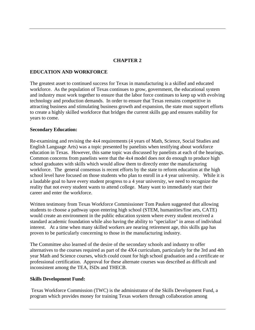# **CHAPTER 2**

#### **EDUCATION AND WORKFORCE**

The greatest asset to continued success for Texas in manufacturing is a skilled and educated workforce. As the population of Texas continues to grow, government, the educational system and industry must work together to ensure that the labor force continues to keep up with evolving technology and production demands. In order to ensure that Texas remains competitive in attracting business and stimulating business growth and expansion, the state must support efforts to create a highly skilled workforce that bridges the current skills gap and ensures stability for years to come.

#### **Secondary Education:**

Re-examining and revising the 4x4 requirements (4 years of Math, Science, Social Studies and English Language Arts) was a topic presented by panelists when testifying about workforce education in Texas. However, this same topic was discussed by panelists at each of the hearings. Common concerns from panelists were that the 4x4 model does not do enough to produce high school graduates with skills which would allow them to directly enter the manufacturing workforce. The general consensus is recent efforts by the state to reform education at the high school level have focused on those students who plan to enroll in a 4 year university. While it is a laudable goal to have every student progress to a 4 year university, we need to recognize the reality that not every student wants to attend college. Many want to immediately start their career and enter the workforce.

Written testimony from Texas Workforce Commissioner Tom Pauken suggested that allowing students to choose a pathway upon entering high school (STEM, humanities/fine arts, CATE) would create an environment in the public education system where every student received a standard academic foundation while also having the ability to "specialize" in areas of individual interest. At a time when many skilled workers are nearing retirement age, this skills gap has proven to be particularly concerning to those in the manufacturing industry.

The Committee also learned of the desire of the secondary schools and industry to offer alternatives to the courses required as part of the 4X4 curriculum, particularly for the 3rd and 4th year Math and Science courses, which could count for high school graduation and a certificate or professional certification. Approval for these alternate courses was described as difficult and inconsistent among the TEA, ISDs and THECB.

#### **Skills Development Fund:**

 Texas Workforce Commission (TWC) is the administrator of the Skills Development Fund, a program which provides money for training Texas workers through collaboration among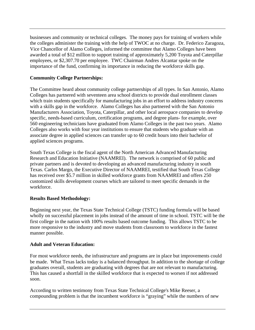businesses and community or technical colleges. The money pays for training of workers while the colleges administer the training with the help of TWOC at no charge. Dr. Federico Zaragoza, Vice Chancellor of Alamo Colleges, informed the committee that Alamo Colleges have been awarded a total of \$12 million to support training of approximately 5,200 Toyota and Caterpillar employees, or \$2,307.70 per employee. TWC Chairman Andres Alcantar spoke on the importance of the fund, confirming its importance in reducing the workforce skills gap.

# **Community College Partnerships:**

The Committee heard about community college partnerships of all types. In San Antonio, Alamo Colleges has partnered with seventeen area school districts to provide dual enrollment classes which train students specifically for manufacturing jobs in an effort to address industry concerns with a skills gap in the workforce. Alamo Colleges has also partnered with the San Antonio Manufacturers Association, Toyota, Caterpillar, and other local aerospace companies to develop specific, needs-based curriculum, certification programs, and degree plans- for example, over 560 engineering technicians have graduated from Alamo Colleges in the past two years. Alamo Colleges also works with four year institutions to ensure that students who graduate with an associate degree in applied sciences can transfer up to 60 credit hours into their bachelor of applied sciences programs.

South Texas College is the fiscal agent of the North American Advanced Manufacturing Research and Education Initiative (NAAMREI). The network is comprised of 60 public and private partners and is devoted to developing an advanced manufacturing industry in south Texas. Carlos Margo, the Executive Director of NAAMREI, testified that South Texas College has received over \$5.7 million in skilled workforce grants from NAAMREI and offers 250 customized skills development courses which are tailored to meet specific demands in the workforce.

#### **Results Based Methodology:**

Beginning next year, the Texas State Technical College (TSTC) funding formula will be based wholly on successful placement in jobs instead of the amount of time in school. TSTC will be the first college in the nation with 100% results based outcome funding. This allows TSTC to be more responsive to the industry and move students from classroom to workforce in the fastest manner possible.

#### **Adult and Veteran Education:**

For most workforce needs, the infrastructure and programs are in place but improvements could be made. What Texas lacks today is a balanced throughput. In addition to the shortage of college graduates overall, students are graduating with degrees that are not relevant to manufacturing. This has caused a shortfall in the skilled workforce that is expected to worsen if not addressed soon.

According to written testimony from Texas State Technical College's Mike Reeser, a compounding problem is that the incumbent workforce is "graying" while the numbers of new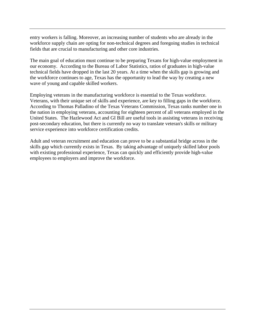entry workers is falling. Moreover, an increasing number of students who are already in the workforce supply chain are opting for non-technical degrees and foregoing studies in technical fields that are crucial to manufacturing and other core industries.

The main goal of education must continue to be preparing Texans for high-value employment in our economy. According to the Bureau of Labor Statistics, ratios of graduates in high-value technical fields have dropped in the last 20 years. At a time when the skills gap is growing and the workforce continues to age, Texas has the opportunity to lead the way by creating a new wave of young and capable skilled workers.

Employing veterans in the manufacturing workforce is essential to the Texas workforce. Veterans, with their unique set of skills and experience, are key to filling gaps in the workforce. According to Thomas Palladino of the Texas Veterans Commission, Texas ranks number one in the nation in employing veterans, accounting for eighteen percent of all veterans employed in the United States. The Hazlewood Act and GI Bill are useful tools in assisting veterans in receiving post-secondary education, but there is currently no way to translate veteran's skills or military service experience into workforce certification credits.

Adult and veteran recruitment and education can prove to be a substantial bridge across in the skills gap which currently exists in Texas. By taking advantage of uniquely skilled labor pools with existing professional experience, Texas can quickly and efficiently provide high-value employees to employers and improve the workforce.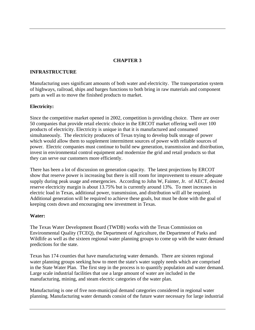# **CHAPTER 3**

#### **INFRASTRUCTURE**

Manufacturing uses significant amounts of both water and electricity. The transportation system of highways, railroad, ships and barges functions to both bring in raw materials and component parts as well as to move the finished products to market.

#### **Electricity:**

Since the competitive market opened in 2002, competition is providing choice. There are over 50 companies that provide retail electric choice in the ERCOT market offering well over 100 products of electricity. Electricity is unique in that it is manufactured and consumed simultaneously. The electricity producers of Texas trying to develop bulk storage of power which would allow them to supplement intermittent sources of power with reliable sources of power. Electric companies must continue to build new generation, transmission and distribution, invest in environmental control equipment and modernize the grid and retail products so that they can serve our customers more efficiently.

There has been a lot of discussion on generation capacity. The latest projections by ERCOT show that reserve power is increasing but there is still room for improvement to ensure adequate supply during peak usage and emergencies. According to John W, Fainter, Jr. of AECT, desired reserve electricity margin is about 13.75% but is currently around 13%. To meet increases in electric load in Texas, additional power, transmission, and distribution will all be required. Additional generation will be required to achieve these goals, but must be done with the goal of keeping costs down and encouraging new investment in Texas.

#### **Water:**

The Texas Water Development Board (TWDB) works with the Texas Commission on Environmental Quality (TCEQ), the Department of Agriculture, the Department of Parks and Wildlife as well as the sixteen regional water planning groups to come up with the water demand predictions for the state.

Texas has 174 counties that have manufacturing water demands. There are sixteen regional water planning groups seeking how to meet the state's water supply needs which are comprised in the State Water Plan. The first step in the process is to quantify population and water demand. Large scale industrial facilities that use a large amount of water are included in the manufacturing, mining, and steam electric categories of the water plan.

Manufacturing is one of five non-municipal demand categories considered in regional water planning. Manufacturing water demands consist of the future water necessary for large industrial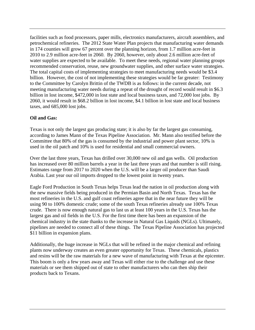facilities such as food processors, paper mills, electronics manufacturers, aircraft assemblers, and petrochemical refineries. The 2012 State Water Plan projects that manufacturing water demands in 174 counties will grow 67 percent over the planning horizon, from 1.7 million acre-feet in 2010 to 2.9 million acre-feet in 2060. By 2060, however, only about 2.6 million acre-feet of water supplies are expected to be available. To meet these needs, regional water planning groups recommended conservation, reuse, new groundwater supplies, and other surface water strategies. The total capital costs of implementing strategies to meet manufacturing needs would be \$3.4 billion. However, the cost of not implementing these strategies would be far greater: Testimony to the Committee by Carolyn Brittin of the TWDB is as follows: in the current decade, not meeting manufacturing water needs during a repeat of the drought of record would result in \$6.3 billion in lost income, \$472,000 in lost state and local business taxes, and 72,000 lost jobs. By 2060, it would result in \$68.2 billion in lost income, \$4.1 billion in lost state and local business taxes, and 685,000 lost jobs.

# **Oil and Gas:**

Texas is not only the largest gas producing state; it is also by far the largest gas consuming, according to James Mann of the Texas Pipeline Association. Mr. Mann also testified before the Committee that 80% of the gas is consumed by the industrial and power plant sector, 10% is used in the oil patch and 10% is used for residential and small commercial owners.

Over the last three years, Texas has drilled over 30,000 new oil and gas wells. Oil production has increased over 80 million barrels a year in the last three years and that number is still rising. Estimates range from 2017 to 2020 when the U.S. will be a larger oil producer than Saudi Arabia. Last year our oil imports dropped to the lowest point in twenty years.

Eagle Ford Production in South Texas helps Texas lead the nation in oil production along with the new massive fields being produced in the Permian Basin and North Texas. Texas has the most refineries in the U.S. and gulf coast refineries agree that in the near future they will be using 90 to 100% domestic crude; some of the south Texas refineries already use 100% Texas crude. There is now enough natural gas to last us at least 100 years in the U.S. Texas has the largest gas and oil fields in the U.S. For the first time there has been an expansion of the chemical industry in the state thanks to the increase in Natural Gas Liquids (NGLs). Ultimately, pipelines are needed to connect all of these things. The Texas Pipeline Association has projected \$11 billion in expansion plans.

Additionally, the huge increase in NGLs that will be refined in the major chemical and refining plants now underway creates an even greater opportunity for Texas. These chemicals, plastics and resins will be the raw materials for a new wave of manufacturing with Texas at the epicenter. This boom is only a few years away and Texas will either rise to the challenge and use these materials or see them shipped out of state to other manufacturers who can then ship their products back to Texans.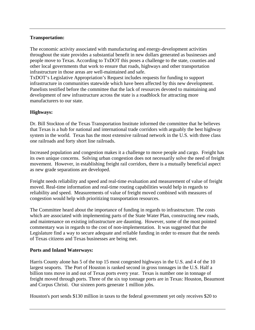#### **Transportation:**

The economic activity associated with manufacturing and energy-development activities throughout the state provides a substantial benefit in new dollars generated as businesses and people move to Texas. According to TxDOT this poses a challenge to the state, counties and other local governments that work to ensure that roads, highways and other transportation infrastructure in those areas are well-maintained and safe.

TxDOT's Legislative Appropriation's Request includes requests for funding to support infrastructure in communities statewide which have been affected by this new development. Panelists testified before the committee that the lack of resources devoted to maintaining and development of new infrastructure across the state is a roadblock for attracting more manufacturers to our state.

# **Highways:**

Dr. Bill Stockton of the Texas Transportation Institute informed the committee that he believes that Texas is a hub for national and international trade corridors with arguably the best highway system in the world. Texas has the most extensive railroad network in the U.S. with three class one railroads and forty short line railroads.

Increased population and congestion makes it a challenge to move people and cargo. Freight has its own unique concerns. Solving urban congestion does not necessarily solve the need of freight movement. However, in establishing freight rail corridors, there is a mutually beneficial aspect as new grade separations are developed.

Freight needs reliability and speed and real-time evaluation and measurement of value of freight moved. Real-time information and real-time routing capabilities would help in regards to reliability and speed. Measurements of value of freight moved combined with measures of congestion would help with prioritizing transportation resources.

The Committee heard about the importance of funding in regards to infrastructure. The costs which are associated with implementing parts of the State Water Plan, constructing new roads, and maintenance on existing infrastructure are daunting. However, some of the most pointed commentary was in regards to the cost of non-implementation. It was suggested that the Legislature find a way to secure adequate and reliable funding in order to ensure that the needs of Texas citizens and Texas businesses are being met.

#### **Ports and Inland Waterways:**

Harris County alone has 5 of the top 15 most congested highways in the U.S. and 4 of the 10 largest seaports. The Port of Houston is ranked second in gross tonnages in the U.S. Half a billion tons move in and out of Texas ports every year. Texas is number one in tonnage of freight moved through ports. Three of the six top tonnage ports are in Texas: Houston, Beaumont and Corpus Christi. Our sixteen ports generate 1 million jobs.

Houston's port sends \$130 million in taxes to the federal government yet only receives \$20 to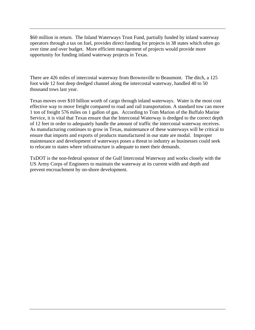\$60 million in return. The Inland Waterways Trust Fund, partially funded by inland waterway operators through a tax on fuel, provides direct funding for projects in 38 states which often go over time and over budget. More efficient management of projects would provide more opportunity for funding inland waterway projects in Texas.

There are 426 miles of intercostal waterway from Brownsville to Beaumont. The ditch, a 125 foot wide 12 foot deep dredged channel along the intercostal waterway, handled 40 to 50 thousand tows last year.

Texas moves over \$10 billion worth of cargo through inland waterways. Water is the most cost effective way to move freight compared to road and rail transportation. A standard tow can move 1 ton of freight 576 miles on 1 gallon of gas. According to Tom Marion of the Buffalo Marine Service, it is vital that Texas ensure that the Intercostal Waterway is dredged to the correct depth of 12 feet in order to adequately handle the amount of traffic the intercostal waterway receives. As manufacturing continues to grow in Texas, maintenance of these waterways will be critical to ensure that imports and exports of products manufactured in our state are modal. Improper maintenance and development of waterways poses a threat to industry as businesses could seek to relocate to states where infrastructure is adequate to meet their demands.

TxDOT is the non-federal sponsor of the Gulf Intercostal Waterway and works closely with the US Army Corps of Engineers to maintain the waterway at its current width and depth and prevent encroachment by on-shore development.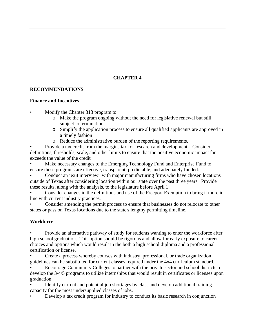# **CHAPTER 4**

# **RECOMMENDATIONS**

#### **Finance and Incentives**

• Modify the Chapter 313 program to

- o Make the program ongoing without the need for legislative renewal but still subject to termination
- o Simplify the application process to ensure all qualified applicants are approved in a timely fashion
- o Reduce the administrative burden of the reporting requirements.

• Provide a tax credit from the margins tax for research and development. Consider definitions, thresholds, scale, and other limits to ensure that the positive economic impact far exceeds the value of the credit

• Make necessary changes to the Emerging Technology Fund and Enterprise Fund to ensure these programs are effective, transparent, predictable, and adequately funded.

• Conduct an 'exit interview" with major manufacturing firms who have chosen locations outside of Texas after considering location within our state over the past three years. Provide these results, along with the analysis, to the legislature before April 1.

• Consider changes in the definitions and use of the Freeport Exemption to bring it more in line with current industry practices.

• Consider amending the permit process to ensure that businesses do not relocate to other states or pass on Texas locations due to the state's lengthy permitting timeline.

# **Workforce**

• Provide an alternative pathway of study for students wanting to enter the workforce after high school graduation. This option should be rigorous and allow for early exposure to career choices and options which would result in the both a high school diploma and a professional certification or license.

• Create a process whereby courses with industry, professional, or trade organization guidelines can be substituted for current classes required under the 4x4 curriculum standard.

• Encourage Community Colleges to partner with the private sector and school districts to develop the 3/4/5 programs to utilize internships that would result in certificates or licenses upon graduation.

• Identify current and potential job shortages by class and develop additional training capacity for the most undersupplied classes of jobs.

• Develop a tax credit program for industry to conduct its basic research in conjunction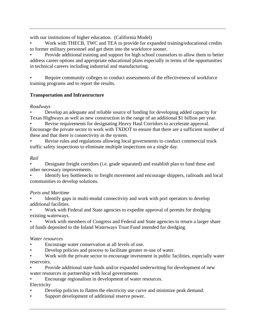with our institutions of higher education. (California Model)

• Work with THECB, TWC and TEA to provide for expanded training/educational credits to former military personnel and get them into the workforce sooner.

• Provide additional training and support for high school counselors to allow them to better address career options and appropriate educational plans especially in terms of the opportunities in technical careers including industrial and manufacturing.

Require community colleges to conduct assessments of the effectiveness of workforce training programs and to report the results.

# **Transportation and Infrastructure**

# *Roadways*

• Develop an adequate and reliable source of funding for developing added capacity for Texas Highways as well as new construction in the range of an additional \$1 billion per year.

Revise requirements for designating Heavy Haul Corridors to accelerate approval. Encourage the private sector to work with TXDOT to ensure that there are a sufficient number of these and that there is connectivity in the system.

Revise rules and regulations allowing local governments to conduct commercial truck traffic safety inspections to eliminate multiple inspections on a single day.

# *Rail*

• Designate freight corridors (i.e. grade separated) and establish plan to fund these and other necessary improvements.

• Identify key bottlenecks to freight movement and encourage shippers, railroads and local communities to develop solutions.

# *Ports and Maritime*

Identify gaps in multi-modal connectivity and work with port operators to develop additional facilities.

• Work with Federal and State agencies to expedite approval of permits for dredging existing waterways.

Work with members of Congress and Federal and State agencies to return a larger share of funds deposited to the Inland Waterways Trust Fund intended for dredging.

# *Water resources*

- Encourage water conservation at all levels of use.
- Develop policies and process to facilitate greater re-use of water.

Work with the private sector to encourage investment in public facilities, especially water reservoirs.

• Provide additional state funds and/or expanded underwriting for development of new water resources in partnership with local governments

• Encourage regionalism in development of water resources.

Electricity

- Develop policies to flatten the electricity use curve and minimize peak demand.
- Support development of additional reserve power.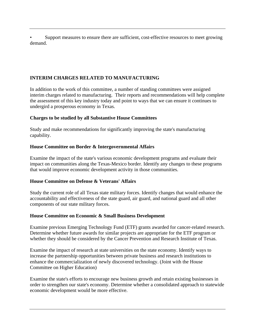• Support measures to ensure there are sufficient, cost-effective resources to meet growing demand.

# **INTERIM CHARGES RELATED TO MANUFACTURING**

In addition to the work of this committee, a number of standing committees were assigned interim charges related to manufacturing. Their reports and recommendations will help complete the assessment of this key industry today and point to ways that we can ensure it continues to undergird a prosperous economy in Texas.

# **Charges to be studied by all Substantive House Committees**

Study and make recommendations for significantly improving the state's manufacturing capability.

# **House Committee on Border & Intergovernmental Affairs**

Examine the impact of the state's various economic development programs and evaluate their impact on communities along the Texas-Mexico border. Identify any changes to these programs that would improve economic development activity in those communities.

#### **House Committee on Defense & Veterans' Affairs**

Study the current role of all Texas state military forces. Identify changes that would enhance the accountability and effectiveness of the state guard, air guard, and national guard and all other components of our state military forces.

#### **House Committee on Economic & Small Business Development**

Examine previous Emerging Technology Fund (ETF) grants awarded for cancer-related research. Determine whether future awards for similar projects are appropriate for the ETF program or whether they should be considered by the Cancer Prevention and Research Institute of Texas.

Examine the impact of research at state universities on the state economy. Identify ways to increase the partnership opportunities between private business and research institutions to enhance the commercialization of newly discovered technology. (Joint with the House Committee on Higher Education)

Examine the state's efforts to encourage new business growth and retain existing businesses in order to strengthen our state's economy. Determine whether a consolidated approach to statewide economic development would be more effective.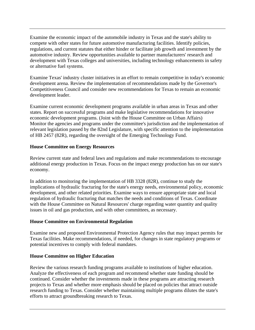Examine the economic impact of the automobile industry in Texas and the state's ability to compete with other states for future automotive manufacturing facilities. Identify policies, regulations, and current statutes that either hinder or facilitate job growth and investment by the automotive industry. Review opportunities available to partner manufacturers' research and development with Texas colleges and universities, including technology enhancements in safety or alternative fuel systems.

Examine Texas' industry cluster initiatives in an effort to remain competitive in today's economic development arena. Review the implementation of recommendations made by the Governor's Competitiveness Council and consider new recommendations for Texas to remain an economic development leader.

Examine current economic development programs available in urban areas in Texas and other states. Report on successful programs and make legislative recommendations for innovative economic development programs. (Joint with the House Committee on Urban Affairs) Monitor the agencies and programs under the committee's jurisdiction and the implementation of relevant legislation passed by the 82nd Legislature, with specific attention to the implementation of HB 2457 (82R), regarding the oversight of the Emerging Technology Fund.

#### **House Committee on Energy Resources**

Review current state and federal laws and regulations and make recommendations to encourage additional energy production in Texas. Focus on the impact energy production has on our state's economy.

In addition to monitoring the implementation of HB 3328 (82R), continue to study the implications of hydraulic fracturing for the state's energy needs, environmental policy, economic development, and other related priorities. Examine ways to ensure appropriate state and local regulation of hydraulic fracturing that matches the needs and conditions of Texas. Coordinate with the House Committee on Natural Resources' charge regarding water quantity and quality issues in oil and gas production, and with other committees, as necessary.

#### **House Committee on Environmental Regulation**

Examine new and proposed Environmental Protection Agency rules that may impact permits for Texas facilities. Make recommendations, if needed, for changes in state regulatory programs or potential incentives to comply with federal mandates.

#### **House Committee on Higher Education**

Review the various research funding programs available to institutions of higher education. Analyze the effectiveness of each program and recommend whether state funding should be continued. Consider whether the investments made in these programs are attracting research projects to Texas and whether more emphasis should be placed on policies that attract outside research funding to Texas. Consider whether maintaining multiple programs dilutes the state's efforts to attract groundbreaking research to Texas.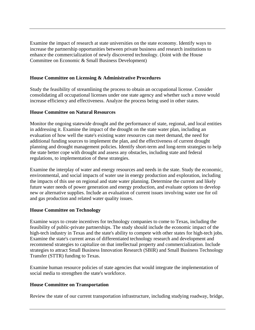Examine the impact of research at state universities on the state economy. Identify ways to increase the partnership opportunities between private business and research institutions to enhance the commercialization of newly discovered technology. (Joint with the House Committee on Economic & Small Business Development)

#### **House Committee on Licensing & Administrative Procedures**

Study the feasibility of streamlining the process to obtain an occupational license. Consider consolidating all occupational licenses under one state agency and whether such a move would increase efficiency and effectiveness. Analyze the process being used in other states.

#### **House Committee on Natural Resources**

Monitor the ongoing statewide drought and the performance of state, regional, and local entities in addressing it. Examine the impact of the drought on the state water plan, including an evaluation of how well the state's existing water resources can meet demand, the need for additional funding sources to implement the plan, and the effectiveness of current drought planning and drought management policies. Identify short-term and long-term strategies to help the state better cope with drought and assess any obstacles, including state and federal regulations, to implementation of these strategies.

Examine the interplay of water and energy resources and needs in the state. Study the economic, environmental, and social impacts of water use in energy production and exploration, including the impacts of this use on regional and state water planning. Determine the current and likely future water needs of power generation and energy production, and evaluate options to develop new or alternative supplies. Include an evaluation of current issues involving water use for oil and gas production and related water quality issues.

#### **House Committee on Technology**

Examine ways to create incentives for technology companies to come to Texas, including the feasibility of public-private partnerships. The study should include the economic impact of the high-tech industry in Texas and the state's ability to compete with other states for high-tech jobs. Examine the state's current areas of differentiated technology research and development and recommend strategies to capitalize on that intellectual property and commercialization. Include strategies to attract Small Business Innovation Research (SBIR) and Small Business Technology Transfer (STTR) funding to Texas.

Examine human resource policies of state agencies that would integrate the implementation of social media to strengthen the state's workforce.

#### **House Committee on Transportation**

Review the state of our current transportation infrastructure, including studying roadway, bridge,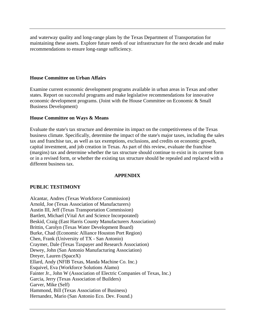and waterway quality and long-range plans by the Texas Department of Transportation for maintaining these assets. Explore future needs of our infrastructure for the next decade and make recommendations to ensure long-range sufficiency.

#### **House Committee on Urban Affairs**

Examine current economic development programs available in urban areas in Texas and other states. Report on successful programs and make legislative recommendations for innovative economic development programs. (Joint with the House Committee on Economic & Small Business Development)

#### **House Committee on Ways & Means**

Evaluate the state's tax structure and determine its impact on the competitiveness of the Texas business climate. Specifically, determine the impact of the state's major taxes, including the sales tax and franchise tax, as well as tax exemptions, exclusions, and credits on economic growth, capital investment, and job creation in Texas. As part of this review, evaluate the franchise (margins) tax and determine whether the tax structure should continue to exist in its current form or in a revised form, or whether the existing tax structure should be repealed and replaced with a different business tax.

#### **APPENDIX**

#### **PUBLIC TESTIMONY**

Alcantar, Andres (Texas Workforce Commission) Arnold, Joe (Texas Association of Manufacturers) Austin III, Jeff (Texas Transportation Commission) Bartlett, Michael (Vital Art and Science Incorporated) Beskid, Craig (East Harris County Manufacturers Association) Brittin, Carolyn (Texas Water Development Board) Burke, Chad (Economic Alliance Houston Port Region) Chen, Frank (University of TX - San Antonio) Craymer, Dale (Texas Taxpayer and Research Association) Dewey, John (San Antonio Manufacturing Association) Dreyer, Lauren (SpaceX) Ellard, Andy (NFIB Texas, Manda Machine Co. Inc.) Esquivel, Eva (Workforce Solutions Alamo) Fainter Jr., John W (Association of Electric Companies of Texas, Inc.) Garcia, Jerry (Texas Association of Builders) Garver, Mike (Self) Hammond, Bill (Texas Association of Business) Hernandez, Mario (San Antonio Eco. Dev. Found.)